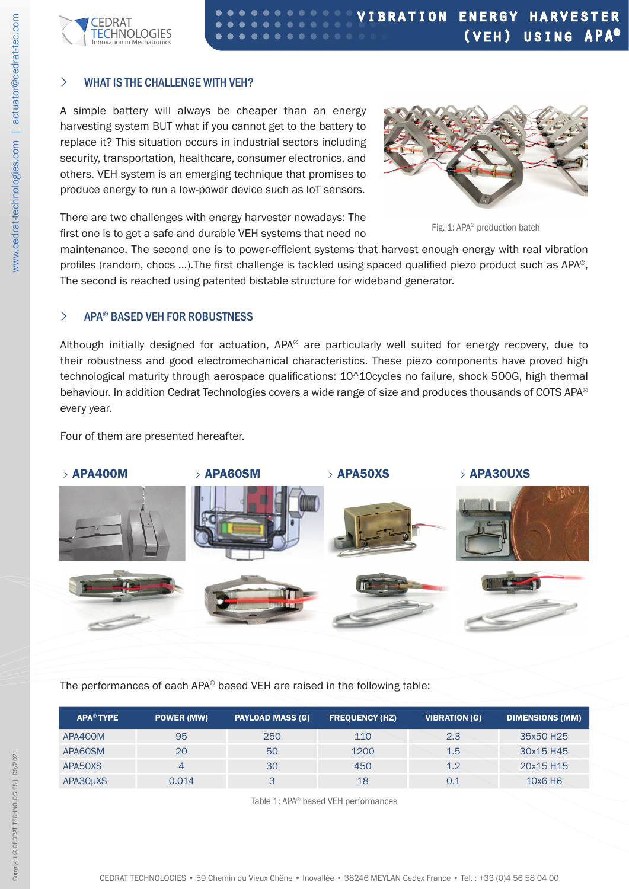

## **>** WHAT IS THE CHALLENGE WITH VEH?

A simple battery will always be cheaper than an energy harvesting system BUT what if you cannot get to the battery to replace it? This situation occurs in industrial sectors including security, transportation, healthcare, consumer electronics, and others. VEH system is an emerging technique that promises to produce energy to run a low-power device such as IoT sensors.



There are two challenges with energy harvester nowadays: The first one is to get a safe and durable VEH systems that need no

Fig. 1: APA® production batch

maintenance. The second one is to power-efficient systems that harvest enough energy with real vibration profiles (random, chocs ...). The first challenge is tackled using spaced qualified piezo product such as APA®, The second is reached using patented bistable structure for wideband generator.

# **>** APA® BASED VEH FOR ROBUSTNESS

Although initially designed for actuation, APA® are particularly well suited for energy recovery, due to their robustness and good electromechanical characteristics. These piezo components have proved high technological maturity through aerospace qualifications: 10^10cycles no failure, shock 500G, high thermal behaviour. In addition Cedrat Technologies covers a wide range of size and produces thousands of COTS APA® every year.

Four of them are presented hereafter.



The performances of each APA® based VEH are raised in the following table:

| <b>APA<sup>®</sup> TYPE</b> | <b>POWER (MW)</b> | <b>PAYLOAD MASS (G)</b> | <b>FREQUENCY (HZ)</b> | <b>VIBRATION (G)</b> | <b>DIMENSIONS (MM)</b> |
|-----------------------------|-------------------|-------------------------|-----------------------|----------------------|------------------------|
| APA400M                     | 95                | 250                     | 110                   | 2.3                  | 35x50 H25              |
| APA60SM                     | 20                | 50                      | 1200                  | 1.5                  | 30x15 H45              |
| APA50XS                     |                   | 30                      | 450                   | 1.2                  | 20x15 H15              |
| APA30µXS                    | 0.014             | 3                       | 18                    | 0.1                  | 10x6H6                 |

Table 1: APA® based VEH performances